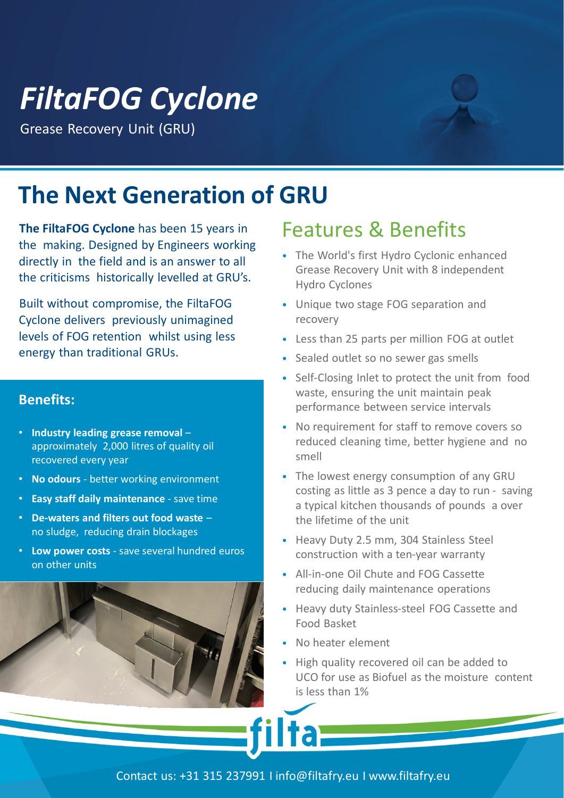# *FiltaFOG Cyclone*

Grease Recovery Unit (GRU)

## **The Next Generation of GRU**

**The FiltaFOG Cyclone** has been 15 years in the making. Designed by Engineers working directly in the field and is an answer to all the criticisms historically levelled at GRU's.

Built without compromise, the FiltaFOG Cyclone delivers previously unimagined levels of FOG retention whilst using less energy than traditional GRUs.

#### **Benefits:**

- **Industry leading grease removal**  approximately 2,000 litres of quality oil recovered every year
- **No odours**  better working environment
- **Easy staff daily maintenance**  save time
- **De-waters and filters out food waste**  no sludge, reducing drain blockages
- **Low power costs**  save several hundred euros on other units



### Features & Benefits

- The World's first Hydro Cyclonic enhanced Grease Recovery Unit with 8 independent Hydro Cyclones
- Unique two stage FOG separation and recovery
- Less than 25 parts per million FOG at outlet
- Sealed outlet so no sewer gas smells
- Self-Closing Inlet to protect the unit from food waste, ensuring the unit maintain peak performance between service intervals
- No requirement for staff to remove covers so reduced cleaning time, better hygiene and no smell
- The lowest energy consumption of any GRU costing as little as 3 pence a day to run - saving a typical kitchen thousands of pounds a over the lifetime of the unit
- Heavy Duty 2.5 mm, 304 Stainless Steel construction with a ten-year warranty
- All-in-one Oil Chute and FOG Cassette reducing daily maintenance operations
- Heavy duty Stainless-steel FOG Cassette and Food Basket
- No heater element
- High quality recovered oil can be added to UCO for use as Biofuel as the moisture content is less than 1%

Contact us: +31 315 237991 I info@filtafry.eu I www.filtafry.eu